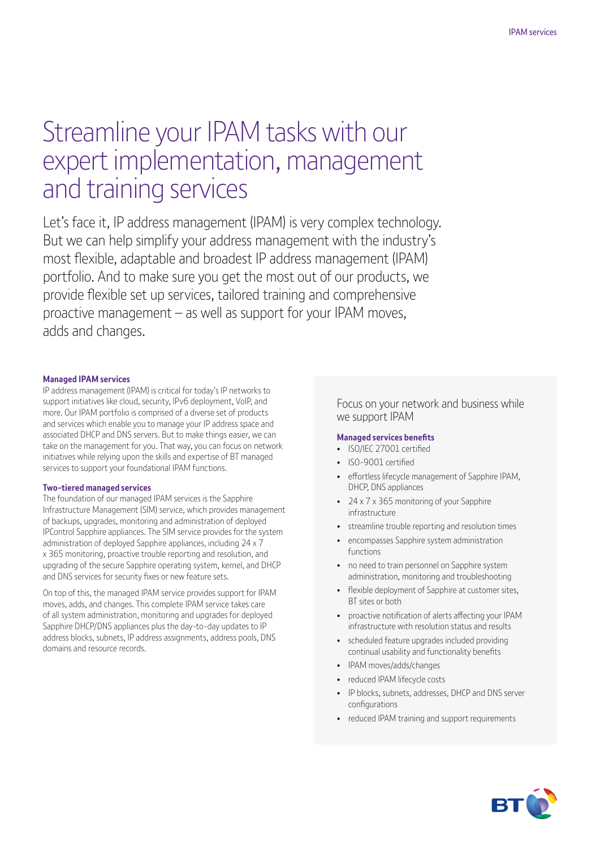# Streamline your IPAM tasks with our expert implementation, management and training services

Let's face it, IP address management (IPAM) is very complex technology. But we can help simplify your address management with the industry's most flexible, adaptable and broadest IP address management (IPAM) portfolio. And to make sure you get the most out of our products, we provide flexible set up services, tailored training and comprehensive proactive management – as well as support for your IPAM moves, adds and changes.

#### **Managed IPAM services**

IP address management (IPAM) is critical for today's IP networks to support initiatives like cloud, security, IPv6 deployment, VoIP, and more. Our IPAM portfolio is comprised of a diverse set of products and services which enable you to manage your IP address space and associated DHCP and DNS servers. But to make things easier, we can take on the management for you. That way, you can focus on network initiatives while relying upon the skills and expertise of BT managed services to support your foundational IPAM functions.

#### **Two-tiered managed services**

The foundation of our managed IPAM services is the Sapphire Infrastructure Management (SIM) service, which provides management of backups, upgrades, monitoring and administration of deployed IPControl Sapphire appliances. The SIM service provides for the system administration of deployed Sapphire appliances, including 24 x 7 x 365 monitoring, proactive trouble reporting and resolution, and upgrading of the secure Sapphire operating system, kernel, and DHCP and DNS services for security fixes or new feature sets.

On top of this, the managed IPAM service provides support for IPAM moves, adds, and changes. This complete IPAM service takes care of all system administration, monitoring and upgrades for deployed Sapphire DHCP/DNS appliances plus the day-to-day updates to IP address blocks, subnets, IP address assignments, address pools, DNS domains and resource records.

Focus on your network and business while we support IPAM

#### **Managed services benefits**

- ISO/IEC 27001 certified
- ISO-9001 certified
- effortless lifecycle management of Sapphire IPAM, DHCP, DNS appliances
- 24 x 7 x 365 monitoring of your Sapphire infrastructure
- streamline trouble reporting and resolution times
- encompasses Sapphire system administration functions
- no need to train personnel on Sapphire system administration, monitoring and troubleshooting
- flexible deployment of Sapphire at customer sites, BT sites or both
- proactive notification of alerts affecting your IPAM infrastructure with resolution status and results
- scheduled feature upgrades included providing continual usability and functionality benefits
- IPAM moves/adds/changes
- reduced IPAM lifecycle costs
- IP blocks, subnets, addresses, DHCP and DNS server configurations
- reduced IPAM training and support requirements